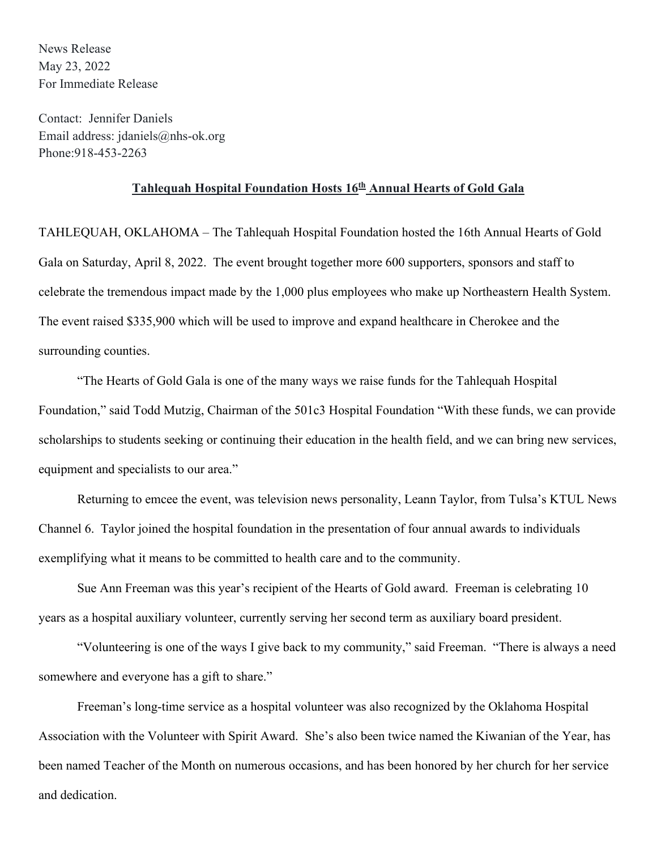News Release May 23, 2022 For Immediate Release

Contact: Jennifer Daniels Email address: jdaniels@nhs-ok.org Phone:918-453-2263

## **Tahlequah Hospital Foundation Hosts 16th Annual Hearts of Gold Gala**

TAHLEQUAH, OKLAHOMA – The Tahlequah Hospital Foundation hosted the 16th Annual Hearts of Gold Gala on Saturday, April 8, 2022. The event brought together more 600 supporters, sponsors and staff to celebrate the tremendous impact made by the 1,000 plus employees who make up Northeastern Health System. The event raised \$335,900 which will be used to improve and expand healthcare in Cherokee and the surrounding counties.

"The Hearts of Gold Gala is one of the many ways we raise funds for the Tahlequah Hospital Foundation," said Todd Mutzig, Chairman of the 501c3 Hospital Foundation "With these funds, we can provide scholarships to students seeking or continuing their education in the health field, and we can bring new services, equipment and specialists to our area."

Returning to emcee the event, was television news personality, Leann Taylor, from Tulsa's KTUL News Channel 6. Taylor joined the hospital foundation in the presentation of four annual awards to individuals exemplifying what it means to be committed to health care and to the community.

Sue Ann Freeman was this year's recipient of the Hearts of Gold award. Freeman is celebrating 10 years as a hospital auxiliary volunteer, currently serving her second term as auxiliary board president.

"Volunteering is one of the ways I give back to my community," said Freeman. "There is always a need somewhere and everyone has a gift to share."

Freeman's long-time service as a hospital volunteer was also recognized by the Oklahoma Hospital Association with the Volunteer with Spirit Award. She's also been twice named the Kiwanian of the Year, has been named Teacher of the Month on numerous occasions, and has been honored by her church for her service and dedication.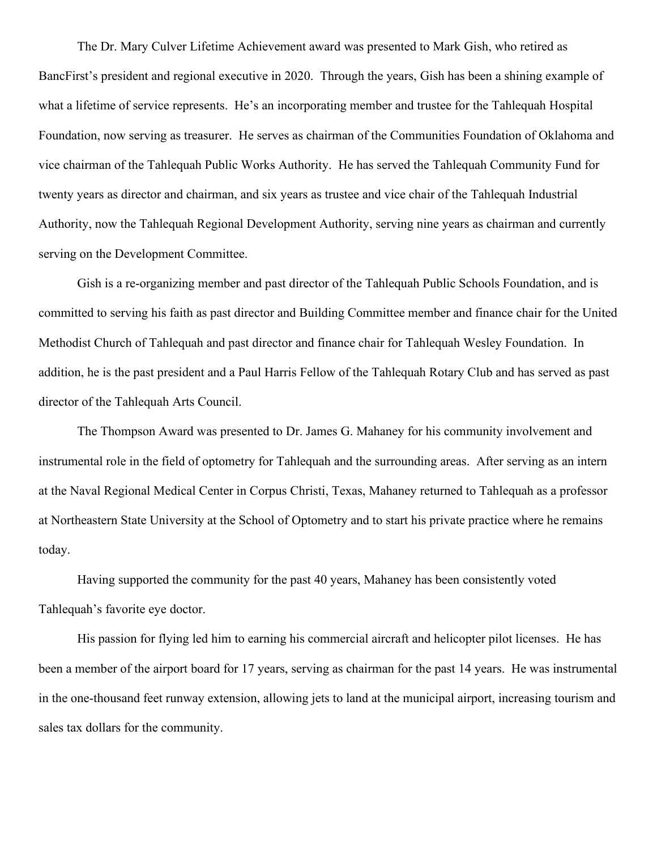The Dr. Mary Culver Lifetime Achievement award was presented to Mark Gish, who retired as BancFirst's president and regional executive in 2020. Through the years, Gish has been a shining example of what a lifetime of service represents. He's an incorporating member and trustee for the Tahlequah Hospital Foundation, now serving as treasurer. He serves as chairman of the Communities Foundation of Oklahoma and vice chairman of the Tahlequah Public Works Authority. He has served the Tahlequah Community Fund for twenty years as director and chairman, and six years as trustee and vice chair of the Tahlequah Industrial Authority, now the Tahlequah Regional Development Authority, serving nine years as chairman and currently serving on the Development Committee.

Gish is a re-organizing member and past director of the Tahlequah Public Schools Foundation, and is committed to serving his faith as past director and Building Committee member and finance chair for the United Methodist Church of Tahlequah and past director and finance chair for Tahlequah Wesley Foundation. In addition, he is the past president and a Paul Harris Fellow of the Tahlequah Rotary Club and has served as past director of the Tahlequah Arts Council.

The Thompson Award was presented to Dr. James G. Mahaney for his community involvement and instrumental role in the field of optometry for Tahlequah and the surrounding areas. After serving as an intern at the Naval Regional Medical Center in Corpus Christi, Texas, Mahaney returned to Tahlequah as a professor at Northeastern State University at the School of Optometry and to start his private practice where he remains today.

Having supported the community for the past 40 years, Mahaney has been consistently voted Tahlequah's favorite eye doctor.

His passion for flying led him to earning his commercial aircraft and helicopter pilot licenses. He has been a member of the airport board for 17 years, serving as chairman for the past 14 years. He was instrumental in the one-thousand feet runway extension, allowing jets to land at the municipal airport, increasing tourism and sales tax dollars for the community.